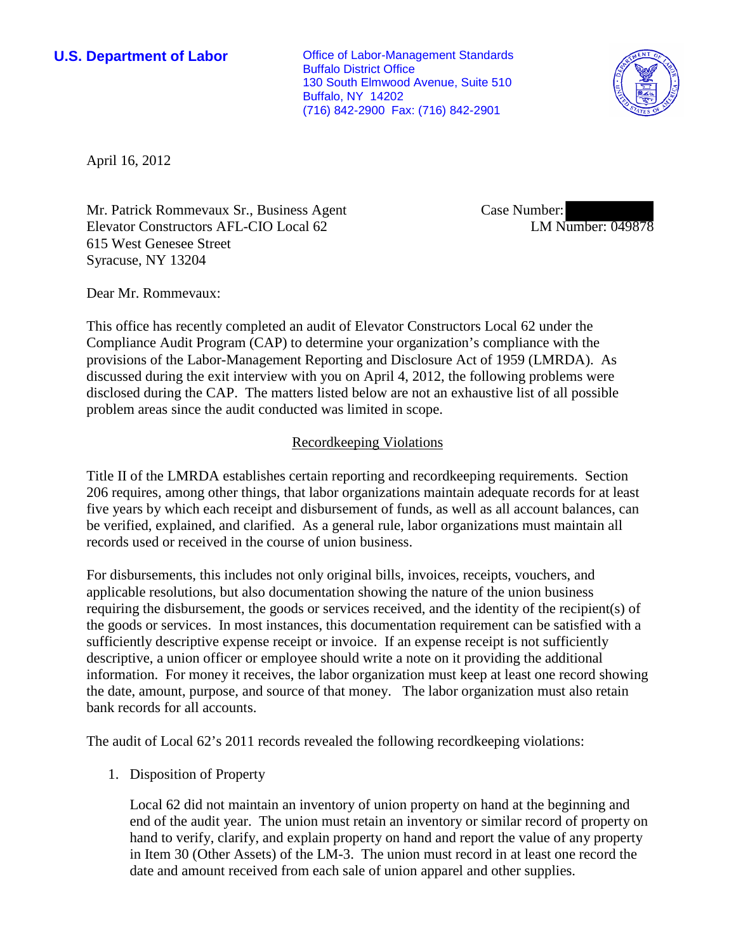**U.S. Department of Labor Office of Labor-Management Standards** Buffalo District Office 130 South Elmwood Avenue, Suite 510 Buffalo, NY 14202 (716) 842-2900 Fax: (716) 842-2901



April 16, 2012

Mr. Patrick Rommevaux Sr., Business Agent Elevator Constructors AFL-CIO Local 62 615 West Genesee Street Syracuse, NY 13204

Case Number: LM Number: 049878

Dear Mr. Rommevaux:

This office has recently completed an audit of Elevator Constructors Local 62 under the Compliance Audit Program (CAP) to determine your organization's compliance with the provisions of the Labor-Management Reporting and Disclosure Act of 1959 (LMRDA). As discussed during the exit interview with you on April 4, 2012, the following problems were disclosed during the CAP. The matters listed below are not an exhaustive list of all possible problem areas since the audit conducted was limited in scope.

#### Recordkeeping Violations

Title II of the LMRDA establishes certain reporting and recordkeeping requirements. Section 206 requires, among other things, that labor organizations maintain adequate records for at least five years by which each receipt and disbursement of funds, as well as all account balances, can be verified, explained, and clarified. As a general rule, labor organizations must maintain all records used or received in the course of union business.

For disbursements, this includes not only original bills, invoices, receipts, vouchers, and applicable resolutions, but also documentation showing the nature of the union business requiring the disbursement, the goods or services received, and the identity of the recipient(s) of the goods or services. In most instances, this documentation requirement can be satisfied with a sufficiently descriptive expense receipt or invoice. If an expense receipt is not sufficiently descriptive, a union officer or employee should write a note on it providing the additional information. For money it receives, the labor organization must keep at least one record showing the date, amount, purpose, and source of that money. The labor organization must also retain bank records for all accounts.

The audit of Local 62's 2011 records revealed the following recordkeeping violations:

1. Disposition of Property

Local 62 did not maintain an inventory of union property on hand at the beginning and end of the audit year. The union must retain an inventory or similar record of property on hand to verify, clarify, and explain property on hand and report the value of any property in Item 30 (Other Assets) of the LM-3. The union must record in at least one record the date and amount received from each sale of union apparel and other supplies.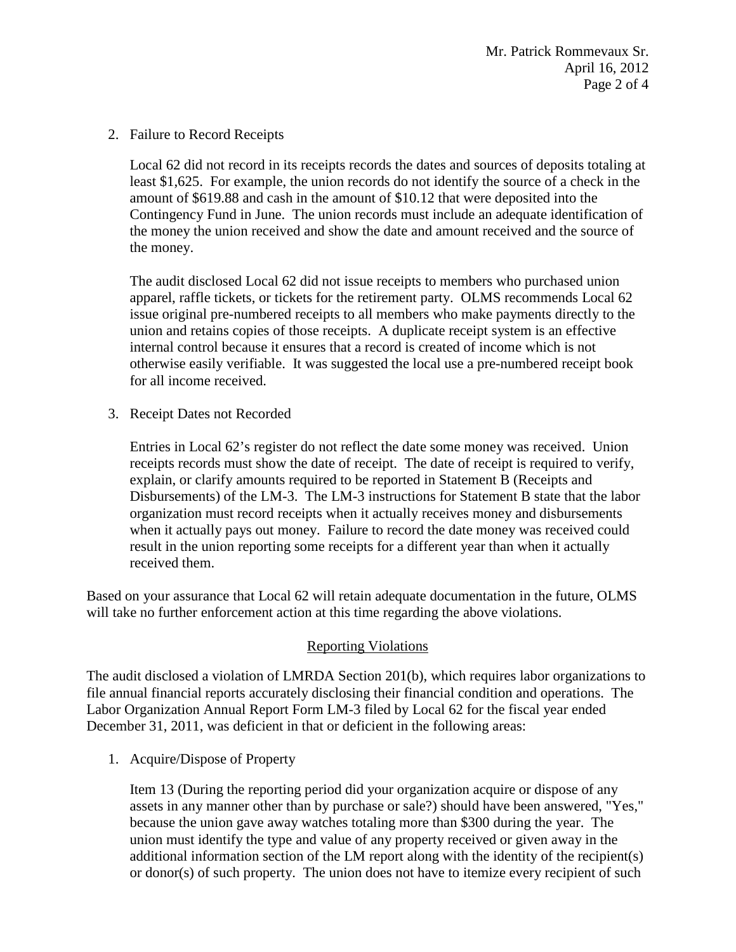2. Failure to Record Receipts

Local 62 did not record in its receipts records the dates and sources of deposits totaling at least \$1,625. For example, the union records do not identify the source of a check in the amount of \$619.88 and cash in the amount of \$10.12 that were deposited into the Contingency Fund in June. The union records must include an adequate identification of the money the union received and show the date and amount received and the source of the money.

The audit disclosed Local 62 did not issue receipts to members who purchased union apparel, raffle tickets, or tickets for the retirement party. OLMS recommends Local 62 issue original pre-numbered receipts to all members who make payments directly to the union and retains copies of those receipts. A duplicate receipt system is an effective internal control because it ensures that a record is created of income which is not otherwise easily verifiable. It was suggested the local use a pre-numbered receipt book for all income received.

3. Receipt Dates not Recorded

Entries in Local 62's register do not reflect the date some money was received. Union receipts records must show the date of receipt. The date of receipt is required to verify, explain, or clarify amounts required to be reported in Statement B (Receipts and Disbursements) of the LM-3. The LM-3 instructions for Statement B state that the labor organization must record receipts when it actually receives money and disbursements when it actually pays out money. Failure to record the date money was received could result in the union reporting some receipts for a different year than when it actually received them.

Based on your assurance that Local 62 will retain adequate documentation in the future, OLMS will take no further enforcement action at this time regarding the above violations.

## Reporting Violations

The audit disclosed a violation of LMRDA Section 201(b), which requires labor organizations to file annual financial reports accurately disclosing their financial condition and operations. The Labor Organization Annual Report Form LM-3 filed by Local 62 for the fiscal year ended December 31, 2011, was deficient in that or deficient in the following areas:

1. Acquire/Dispose of Property

Item 13 (During the reporting period did your organization acquire or dispose of any assets in any manner other than by purchase or sale?) should have been answered, "Yes," because the union gave away watches totaling more than \$300 during the year. The union must identify the type and value of any property received or given away in the additional information section of the LM report along with the identity of the recipient(s) or donor(s) of such property. The union does not have to itemize every recipient of such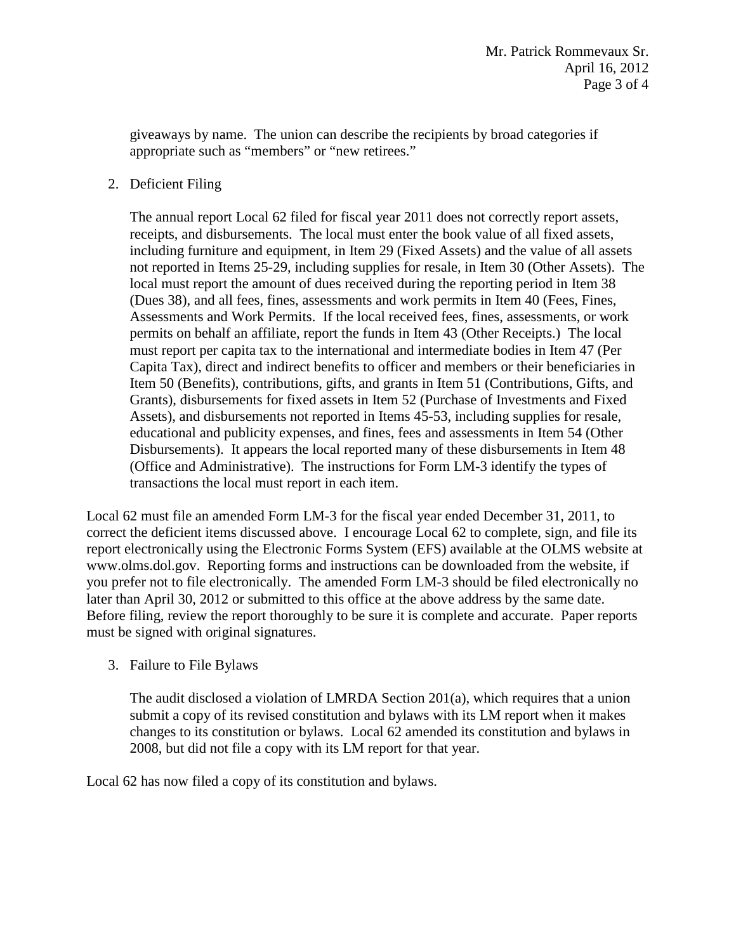giveaways by name. The union can describe the recipients by broad categories if appropriate such as "members" or "new retirees."

2. Deficient Filing

The annual report Local 62 filed for fiscal year 2011 does not correctly report assets, receipts, and disbursements. The local must enter the book value of all fixed assets, including furniture and equipment, in Item 29 (Fixed Assets) and the value of all assets not reported in Items 25-29, including supplies for resale, in Item 30 (Other Assets). The local must report the amount of dues received during the reporting period in Item 38 (Dues 38), and all fees, fines, assessments and work permits in Item 40 (Fees, Fines, Assessments and Work Permits. If the local received fees, fines, assessments, or work permits on behalf an affiliate, report the funds in Item 43 (Other Receipts.) The local must report per capita tax to the international and intermediate bodies in Item 47 (Per Capita Tax), direct and indirect benefits to officer and members or their beneficiaries in Item 50 (Benefits), contributions, gifts, and grants in Item 51 (Contributions, Gifts, and Grants), disbursements for fixed assets in Item 52 (Purchase of Investments and Fixed Assets), and disbursements not reported in Items 45-53, including supplies for resale, educational and publicity expenses, and fines, fees and assessments in Item 54 (Other Disbursements). It appears the local reported many of these disbursements in Item 48 (Office and Administrative). The instructions for Form LM-3 identify the types of transactions the local must report in each item.

Local 62 must file an amended Form LM-3 for the fiscal year ended December 31, 2011, to correct the deficient items discussed above. I encourage Local 62 to complete, sign, and file its report electronically using the Electronic Forms System (EFS) available at the OLMS website at [www.olms.dol.gov.](http://www.olms.dol.gov/) Reporting forms and instructions can be downloaded from the website, if you prefer not to file electronically. The amended Form LM-3 should be filed electronically no later than April 30, 2012 or submitted to this office at the above address by the same date. Before filing, review the report thoroughly to be sure it is complete and accurate. Paper reports must be signed with original signatures.

3. Failure to File Bylaws

The audit disclosed a violation of LMRDA Section 201(a), which requires that a union submit a copy of its revised constitution and bylaws with its LM report when it makes changes to its constitution or bylaws. Local 62 amended its constitution and bylaws in 2008, but did not file a copy with its LM report for that year.

Local 62 has now filed a copy of its constitution and bylaws.